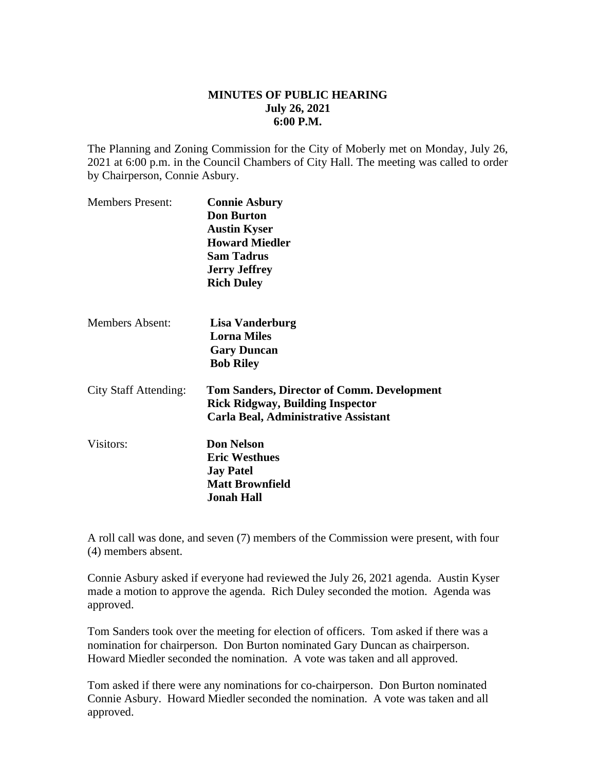## **MINUTES OF PUBLIC HEARING July 26, 2021 6:00 P.M.**

The Planning and Zoning Commission for the City of Moberly met on Monday, July 26, 2021 at 6:00 p.m. in the Council Chambers of City Hall. The meeting was called to order by Chairperson, Connie Asbury.

| <b>Members Present:</b>      | <b>Connie Asbury</b><br><b>Don Burton</b><br><b>Austin Kyser</b><br><b>Howard Miedler</b><br><b>Sam Tadrus</b><br><b>Jerry Jeffrey</b><br><b>Rich Duley</b> |
|------------------------------|-------------------------------------------------------------------------------------------------------------------------------------------------------------|
| <b>Members Absent:</b>       | Lisa Vanderburg<br><b>Lorna Miles</b><br><b>Gary Duncan</b><br><b>Bob Riley</b>                                                                             |
| <b>City Staff Attending:</b> | <b>Tom Sanders, Director of Comm. Development</b><br><b>Rick Ridgway, Building Inspector</b><br>Carla Beal, Administrative Assistant                        |
| Visitors:                    | <b>Don Nelson</b><br><b>Eric Westhues</b><br><b>Jay Patel</b><br><b>Matt Brownfield</b><br><b>Jonah Hall</b>                                                |

A roll call was done, and seven (7) members of the Commission were present, with four (4) members absent.

Connie Asbury asked if everyone had reviewed the July 26, 2021 agenda. Austin Kyser made a motion to approve the agenda. Rich Duley seconded the motion. Agenda was approved.

Tom Sanders took over the meeting for election of officers. Tom asked if there was a nomination for chairperson. Don Burton nominated Gary Duncan as chairperson. Howard Miedler seconded the nomination. A vote was taken and all approved.

Tom asked if there were any nominations for co-chairperson. Don Burton nominated Connie Asbury. Howard Miedler seconded the nomination. A vote was taken and all approved.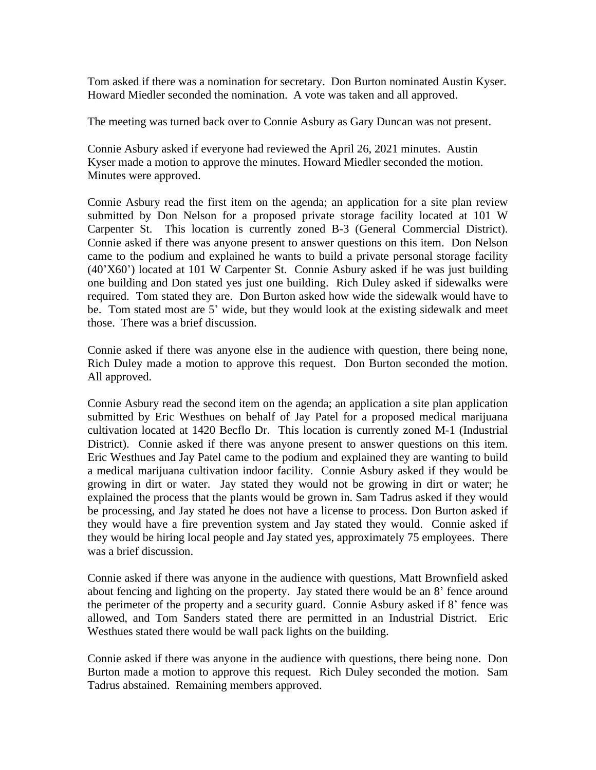Tom asked if there was a nomination for secretary. Don Burton nominated Austin Kyser. Howard Miedler seconded the nomination. A vote was taken and all approved.

The meeting was turned back over to Connie Asbury as Gary Duncan was not present.

Connie Asbury asked if everyone had reviewed the April 26, 2021 minutes. Austin Kyser made a motion to approve the minutes. Howard Miedler seconded the motion. Minutes were approved.

Connie Asbury read the first item on the agenda; an application for a site plan review submitted by Don Nelson for a proposed private storage facility located at 101 W Carpenter St. This location is currently zoned B-3 (General Commercial District). Connie asked if there was anyone present to answer questions on this item. Don Nelson came to the podium and explained he wants to build a private personal storage facility (40'X60') located at 101 W Carpenter St. Connie Asbury asked if he was just building one building and Don stated yes just one building. Rich Duley asked if sidewalks were required. Tom stated they are. Don Burton asked how wide the sidewalk would have to be. Tom stated most are 5' wide, but they would look at the existing sidewalk and meet those. There was a brief discussion.

Connie asked if there was anyone else in the audience with question, there being none, Rich Duley made a motion to approve this request. Don Burton seconded the motion. All approved.

Connie Asbury read the second item on the agenda; an application a site plan application submitted by Eric Westhues on behalf of Jay Patel for a proposed medical marijuana cultivation located at 1420 Becflo Dr. This location is currently zoned M-1 (Industrial District). Connie asked if there was anyone present to answer questions on this item. Eric Westhues and Jay Patel came to the podium and explained they are wanting to build a medical marijuana cultivation indoor facility. Connie Asbury asked if they would be growing in dirt or water. Jay stated they would not be growing in dirt or water; he explained the process that the plants would be grown in. Sam Tadrus asked if they would be processing, and Jay stated he does not have a license to process. Don Burton asked if they would have a fire prevention system and Jay stated they would. Connie asked if they would be hiring local people and Jay stated yes, approximately 75 employees. There was a brief discussion.

Connie asked if there was anyone in the audience with questions, Matt Brownfield asked about fencing and lighting on the property. Jay stated there would be an 8' fence around the perimeter of the property and a security guard. Connie Asbury asked if 8' fence was allowed, and Tom Sanders stated there are permitted in an Industrial District. Eric Westhues stated there would be wall pack lights on the building.

Connie asked if there was anyone in the audience with questions, there being none. Don Burton made a motion to approve this request. Rich Duley seconded the motion. Sam Tadrus abstained. Remaining members approved.